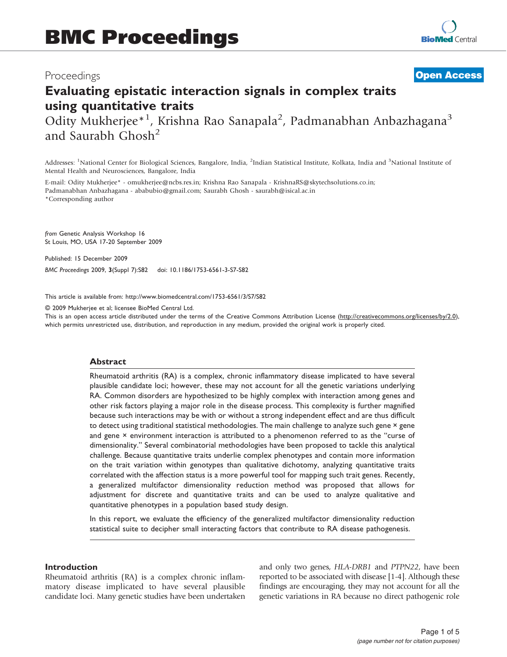## Proceedings

# **[Open Access](http://www.biomedcentral.com/info/about/charter/)**

# Evaluating epistatic interaction signals in complex traits using quantitative traits

Odity Mukherjee\*<sup>1</sup>, Krishna Rao Sanapala<sup>2</sup>, Padmanabhan Anbazhagana<sup>3</sup> and Saurabh Ghosh<sup>2</sup>

Addresses: <sup>1</sup>National Center for Biological Sciences, Bangalore, India, <sup>2</sup>Indian Statistical Institute, Kolkata, India and <sup>3</sup>National Institute of Mental Health and Neurosciences, Bangalore, India

E-mail: Odity Mukherjee\* - [omukherjee@ncbs.res.in;](mailto:omukherjee@ncbs.res.in) Krishna Rao Sanapala - [KrishnaRS@skytechsolutions.co.in;](mailto:KrishnaRS@skytechsolutions.co.in) Padmanabhan Anbazhagana - [ababubio@gmail.com;](mailto:ababubio@gmail.com) Saurabh Ghosh - [saurabh@isical.ac.in](mailto:saurabh@isical.ac.in) \*Corresponding author

from Genetic Analysis Workshop 16 St Louis, MO, USA 17-20 September 2009

Published: 15 December 2009

BMC Proceedings 2009, 3(Suppl 7):S82 doi: 10.1186/1753-6561-3-S7-S82

This article is available from: http://www.biomedcentral.com/1753-6561/3/S7/S82

© 2009 Mukherjee et al; licensee BioMed Central Ltd.

This is an open access article distributed under the terms of the Creative Commons Attribution License [\(http://creativecommons.org/licenses/by/2.0\)](http://creativecommons.org/licenses/by/2.0), which permits unrestricted use, distribution, and reproduction in any medium, provided the original work is properly cited.

#### Abstract

Rheumatoid arthritis (RA) is a complex, chronic inflammatory disease implicated to have several plausible candidate loci; however, these may not account for all the genetic variations underlying RA. Common disorders are hypothesized to be highly complex with interaction among genes and other risk factors playing a major role in the disease process. This complexity is further magnified because such interactions may be with or without a strong independent effect and are thus difficult to detect using traditional statistical methodologies. The main challenge to analyze such gene × gene and gene × environment interaction is attributed to a phenomenon referred to as the "curse of dimensionality." Several combinatorial methodologies have been proposed to tackle this analytical challenge. Because quantitative traits underlie complex phenotypes and contain more information on the trait variation within genotypes than qualitative dichotomy, analyzing quantitative traits correlated with the affection status is a more powerful tool for mapping such trait genes. Recently, a generalized multifactor dimensionality reduction method was proposed that allows for adjustment for discrete and quantitative traits and can be used to analyze qualitative and quantitative phenotypes in a population based study design.

In this report, we evaluate the efficiency of the generalized multifactor dimensionality reduction statistical suite to decipher small interacting factors that contribute to RA disease pathogenesis.

#### Introduction

Rheumatoid arthritis (RA) is a complex chronic inflammatory disease implicated to have several plausible candidate loci. Many genetic studies have been undertaken and only two genes, HLA-DRB1 and PTPN22, have been reported to be associated with disease [\[1-4\]](#page-4-0). Although these findings are encouraging, they may not account for all the genetic variations in RA because no direct pathogenic role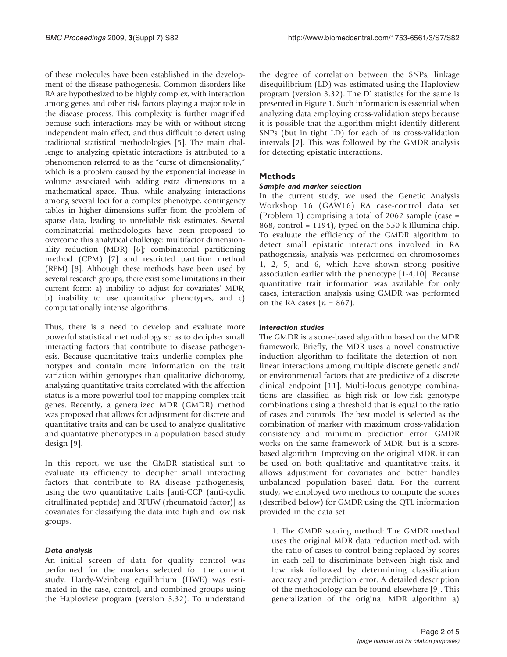of these molecules have been established in the development of the disease pathogenesis. Common disorders like RA are hypothesized to be highly complex, with interaction among genes and other risk factors playing a major role in the disease process. This complexity is further magnified because such interactions may be with or without strong independent main effect, and thus difficult to detect using traditional statistical methodologies [[5\]](#page-4-0). The main challenge to analyzing epistatic interactions is attributed to a phenomenon referred to as the "curse of dimensionality," which is a problem caused by the exponential increase in volume associated with adding extra dimensions to a mathematical space. Thus, while analyzing interactions among several loci for a complex phenotype, contingency tables in higher dimensions suffer from the problem of sparse data, leading to unreliable risk estimates. Several combinatorial methodologies have been proposed to overcome this analytical challenge: multifactor dimensionality reduction (MDR) [[6](#page-4-0)]; combinatorial partitioning method (CPM) [[7](#page-4-0)] and restricted partition method (RPM) [\[8\]](#page-4-0). Although these methods have been used by several research groups, there exist some limitations in their current form: a) inability to adjust for covariates' MDR, b) inability to use quantitative phenotypes, and c) computationally intense algorithms.

Thus, there is a need to develop and evaluate more powerful statistical methodology so as to decipher small interacting factors that contribute to disease pathogenesis. Because quantitative traits underlie complex phenotypes and contain more information on the trait variation within genotypes than qualitative dichotomy, analyzing quantitative traits correlated with the affection status is a more powerful tool for mapping complex trait genes. Recently, a generalized MDR (GMDR) method was proposed that allows for adjustment for discrete and quantitative traits and can be used to analyze qualitative and quantative phenotypes in a population based study design [\[9\]](#page-4-0).

In this report, we use the GMDR statistical suit to evaluate its efficiency to decipher small interacting factors that contribute to RA disease pathogenesis, using the two quantitative traits [anti-CCP (anti-cyclic citrullinated peptide) and RFUW (rheumatoid factor)] as covariates for classifying the data into high and low risk groups.

#### Data analysis

An initial screen of data for quality control was performed for the markers selected for the current study. Hardy-Weinberg equilibrium (HWE) was estimated in the case, control, and combined groups using the Haploview program (version 3.32). To understand

the degree of correlation between the SNPs, linkage disequilibrium (LD) was estimated using the Haploview program (version 3.32). The D' statistics for the same is presented in [Figure 1.](#page-2-0) Such information is essential when analyzing data employing cross-validation steps because it is possible that the algorithm might identify different SNPs (but in tight LD) for each of its cross-validation intervals [[2](#page-4-0)]. This was followed by the GMDR analysis for detecting epistatic interactions.

#### Methods

#### Sample and marker selection

In the current study, we used the Genetic Analysis Workshop 16 (GAW16) RA case-control data set (Problem 1) comprising a total of 2062 sample (case = 868, control = 1194), typed on the 550 k Illumina chip. To evaluate the efficiency of the GMDR algorithm to detect small epistatic interactions involved in RA pathogenesis, analysis was performed on chromosomes 1, 2, 5, and 6, which have shown strong positive association earlier with the phenotype [\[1-4](#page-4-0),[10\]](#page-4-0). Because quantitative trait information was available for only cases, interaction analysis using GMDR was performed on the RA cases  $(n = 867)$ .

## Interaction studies

The GMDR is a score-based algorithm based on the MDR framework. Briefly, the MDR uses a novel constructive induction algorithm to facilitate the detection of nonlinear interactions among multiple discrete genetic and/ or environmental factors that are predictive of a discrete clinical endpoint [\[11](#page-4-0)]. Multi-locus genotype combinations are classified as high-risk or low-risk genotype combinations using a threshold that is equal to the ratio of cases and controls. The best model is selected as the combination of marker with maximum cross-validation consistency and minimum prediction error. GMDR works on the same framework of MDR, but is a scorebased algorithm. Improving on the original MDR, it can be used on both qualitative and quantitative traits, it allows adjustment for covariates and better handles unbalanced population based data. For the current study, we employed two methods to compute the scores (described below) for GMDR using the QTL information provided in the data set:

1. The GMDR scoring method: The GMDR method uses the original MDR data reduction method, with the ratio of cases to control being replaced by scores in each cell to discriminate between high risk and low risk followed by determining classification accuracy and prediction error. A detailed description of the methodology can be found elsewhere [\[9\]](#page-4-0). This generalization of the original MDR algorithm a)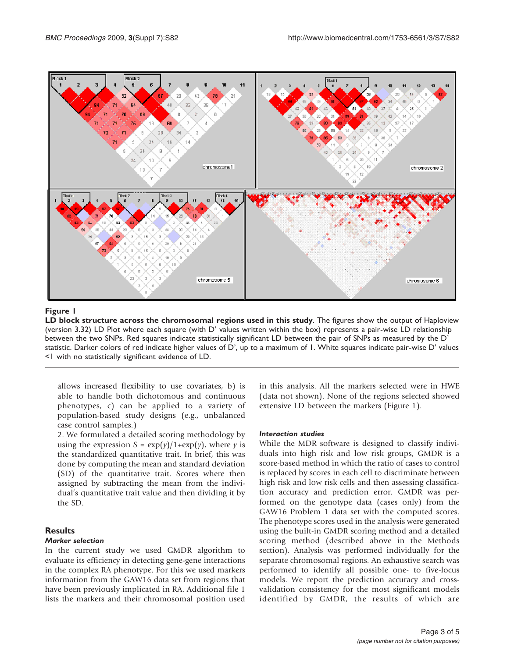<span id="page-2-0"></span>

#### Figure 1

LD block structure across the chromosomal regions used in this study. The figures show the output of Haploview (version 3.32) LD Plot where each square (with D' values written within the box) represents a pair-wise LD relationship between the two SNPs. Red squares indicate statistically significant LD between the pair of SNPs as measured by the D' statistic. Darker colors of red indicate higher values of D', up to a maximum of 1. White squares indicate pair-wise D' values <1 with no statistically significant evidence of LD.

allows increased flexibility to use covariates, b) is able to handle both dichotomous and continuous phenotypes, c) can be applied to a variety of population-based study designs (e.g., unbalanced case control samples.)

2. We formulated a detailed scoring methodology by using the expression  $S = \exp(y)/1 + \exp(y)$ , where y is the standardized quantitative trait. In brief, this was done by computing the mean and standard deviation (SD) of the quantitative trait. Scores where then assigned by subtracting the mean from the individual's quantitative trait value and then dividing it by the SD.

## **Results**

#### Marker selection

In the current study we used GMDR algorithm to evaluate its efficiency in detecting gene-gene interactions in the complex RA phenotype. For this we used markers information from the GAW16 data set from regions that have been previously implicated in RA. Additional file [1](#page-3-0) lists the markers and their chromosomal position used in this analysis. All the markers selected were in HWE (data not shown). None of the regions selected showed extensive LD between the markers (Figure 1).

#### Interaction studies

While the MDR software is designed to classify individuals into high risk and low risk groups, GMDR is a score-based method in which the ratio of cases to control is replaced by scores in each cell to discriminate between high risk and low risk cells and then assessing classification accuracy and prediction error. GMDR was performed on the genotype data (cases only) from the GAW16 Problem 1 data set with the computed scores. The phenotype scores used in the analysis were generated using the built-in GMDR scoring method and a detailed scoring method (described above in the Methods section). Analysis was performed individually for the separate chromosomal regions. An exhaustive search was performed to identify all possible one- to five-locus models. We report the prediction accuracy and crossvalidation consistency for the most significant models identified by GMDR, the results of which are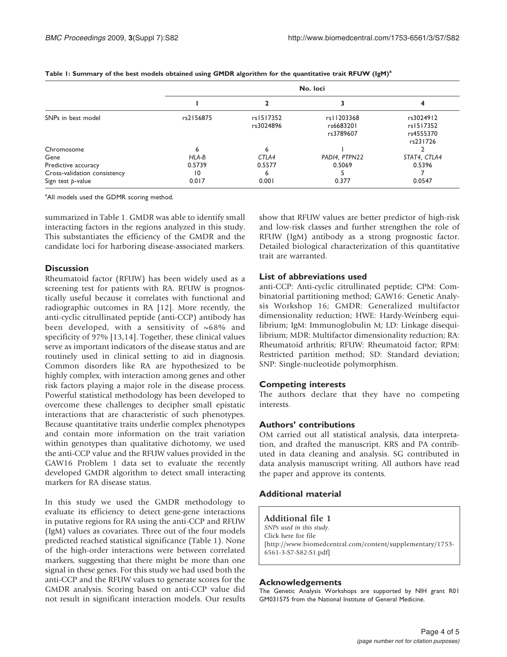|                              | No. loci  |                        |                                        |                                                 |
|------------------------------|-----------|------------------------|----------------------------------------|-------------------------------------------------|
|                              |           |                        |                                        |                                                 |
| SNPs in best model           | rs2156875 | rs1517352<br>rs3024896 | rs   1203368<br>rs6683201<br>rs3789607 | rs3024912<br>rs1517352<br>rs4555370<br>rs231726 |
| Chromosome                   | n         | 6                      |                                        |                                                 |
| Gene                         | HLA-B     | CTLA4                  | PADI4, PTPN22                          | STAT4, CTLA4                                    |
| Predictive accuracy          | 0.5739    | 0.5577                 | 0.5069                                 | 0.5396                                          |
| Cross-validation consistency | 10        | 6                      |                                        |                                                 |
| Sign test p-value            | 0.017     | 0.001                  | 0.377                                  | 0.0547                                          |

#### <span id="page-3-0"></span>Table 1: Summary of the best models obtained using GMDR algorithm for the quantitative trait RFUW ( $lgM$ )<sup>a</sup>

<sup>a</sup>All models used the GDMR scoring method.

summarized in Table 1. GMDR was able to identify small interacting factors in the regions analyzed in this study. This substantiates the efficiency of the GMDR and the candidate loci for harboring disease-associated markers.

## **Discussion**

Rheumatoid factor (RFUW) has been widely used as a screening test for patients with RA. RFUW is prognostically useful because it correlates with functional and radiographic outcomes in RA [[12\]](#page-4-0). More recently, the anti-cyclic citrullinated peptide (anti-CCP) antibody has been developed, with a sensitivity of  $~68\%$  and specificity of 97% [[13,14](#page-4-0)]. Together, these clinical values serve as important indicators of the disease status and are routinely used in clinical setting to aid in diagnosis. Common disorders like RA are hypothesized to be highly complex, with interaction among genes and other risk factors playing a major role in the disease process. Powerful statistical methodology has been developed to overcome these challenges to decipher small epistatic interactions that are characteristic of such phenotypes. Because quantitative traits underlie complex phenotypes and contain more information on the trait variation within genotypes than qualitative dichotomy, we used the anti-CCP value and the RFUW values provided in the GAW16 Problem 1 data set to evaluate the recently developed GMDR algorithm to detect small interacting markers for RA disease status.

In this study we used the GMDR methodology to evaluate its efficiency to detect gene-gene interactions in putative regions for RA using the anti-CCP and RFUW (IgM) values as covariates. Three out of the four models predicted reached statistical significance (Table 1). None of the high-order interactions were between correlated markers, suggesting that there might be more than one signal in these genes. For this study we had used both the anti-CCP and the RFUW values to generate scores for the GMDR analysis. Scoring based on anti-CCP value did not result in significant interaction models. Our results show that RFUW values are better predictor of high-risk and low-risk classes and further strengthen the role of RFUW (IgM) antibody as a strong prognostic factor. Detailed biological characterization of this quantitative trait are warranted.

## List of abbreviations used

anti-CCP: Anti-cyclic citrullinated peptide; CPM: Combinatorial partitioning method; GAW16: Genetic Analysis Workshop 16; GMDR: Generalized multifactor dimensionality reduction; HWE: Hardy-Weinberg equilibrium; IgM: Immunoglobulin M; LD: Linkage disequilibrium; MDR: Multifactor dimensionality reduction; RA: Rheumatoid arthritis; RFUW: Rheumatoid factor; RPM: Restricted partition method; SD: Standard deviation; SNP: Single-nucleotide polymorphism.

## Competing interests

The authors declare that they have no competing interests.

## Authors' contributions

OM carried out all statistical analysis, data interpretation, and drafted the manuscript. KRS and PA contributed in data cleaning and analysis. SG contributed in data analysis manuscript writing. All authors have read the paper and approve its contents.

## Additional material

## Additional file 1 SNPs used in this study.

Click here for file [http://www.biomedcentral.com/content/supplementary/1753- 6561-3-S7-S82-S1.pdf]

## Acknowledgements

The Genetic Analysis Workshops are supported by NIH grant R01 GM031575 from the National Institute of General Medicine.